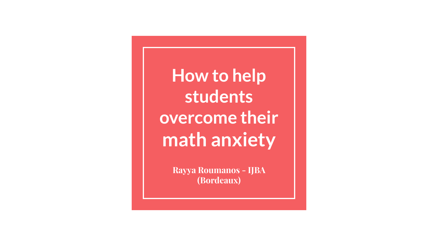**How to help students overcome their math anxiety**

> **Rayya Roumanos - IJBA (Bordeaux)**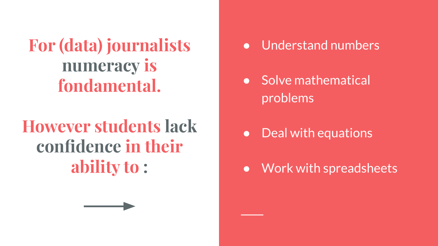**For (data) journalists numeracy is fondamental.** 

## **However students lack confidence in their ability to :**

- Understand numbers
- Solve mathematical problems
- Deal with equations
- Work with spreadsheets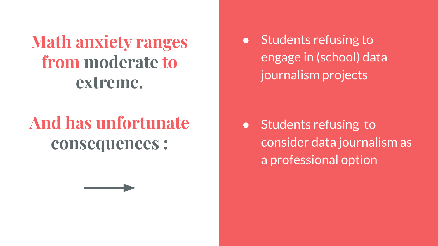**Math anxiety ranges from moderate to extreme.**

## **And has unfortunate consequences :**

● Students refusing to engage in (school) data journalism projects

● Students refusing to consider data journalism as a professional option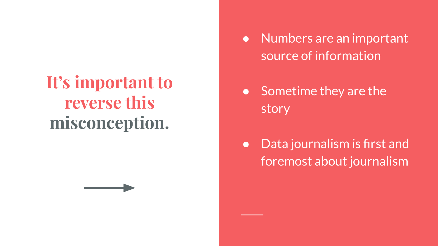## **It's important to reverse this misconception.**

- Numbers are an important source of information
- Sometime they are the story
- Data journalism is first and foremost about journalism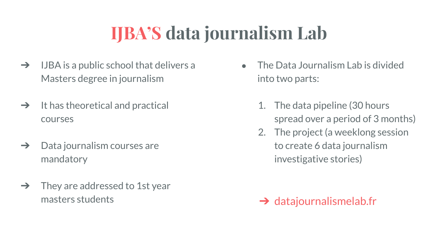## **IJBA'S data journalism Lab**

- $\rightarrow$  IJBA is a public school that delivers a Masters degree in journalism
- $\rightarrow$  It has theoretical and practical courses
- $\rightarrow$  Data journalism courses are mandatory
- $\rightarrow$  They are addressed to 1st year masters students
- The Data Journalism Lab is divided into two parts:
	- 1. The data pipeline (30 hours spread over a period of 3 months)
	- 2. The project (a weeklong session to create 6 data journalism investigative stories)

### $\rightarrow$  datajournalismelab.fr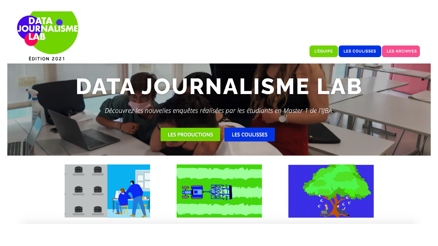

LES COULISSES L'ÉQUIPE **LES ARCHIVES** 







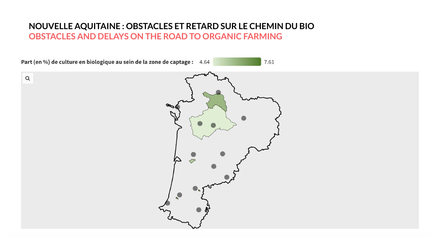#### **NOUVELLE AQUITAINE : OBSTACLES ET RETARD SUR LE CHEMIN DU BIO OBSTACLES AND DELAYS ON THE ROAD TO ORGANIC FARMING**

Part (en %) de culture en biologique au sein de la zone de captage : 4.64

7.61

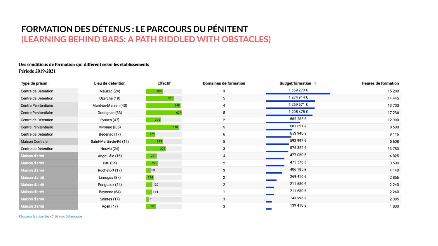#### **FORMATION DES DÉTENUS : LE PARCOURS DU PÉNITENT (LEARNING BEHIND BARS: A PATH RIDDLED WITH OBSTACLES)**

#### Des conditions de formation qui diffèrent selon les établissements **Période 2019-2021**

| Type de prison              | Lieu de détention       | <b>Effectif</b> | <b>Domaines de formation</b> | <b>Budget formation</b> $\mathbb{V}$ | <b>Heures de formation</b> |
|-----------------------------|-------------------------|-----------------|------------------------------|--------------------------------------|----------------------------|
| Centre de Détention         | Mauzac (24)             | 318             | 3                            | 1669 270€                            | 15 280                     |
| Centre de Détention         | Uzerche (19)            | 528             | 5                            | 1 274 914 €                          | 14 4 45                    |
| Centre Pénitentiaire        | Mont-de-Marsan (40)     | 648             | 4                            | 1 259 571 €                          | 13700                      |
| Centre Pénitentiaire        | Gradignan (33)          | 677             | 5                            | 1 205 478 €                          | 17 236                     |
| Centre de Détention         | Eysses (47)             | 279             | $\overline{2}$               | 885 285 €                            | 12 900                     |
| <b>Centre Pénitentiaire</b> | Vivonne ((86)           | 613             | 5                            | 681 621 €                            | 8 500                      |
| Centre de Détention         | Bedenac (17)            | 175             | 6                            | 653 940 €                            | 8 1 1 6                    |
| <b>Maison Centrale</b>      | Saint-Martin-de-Ré (17) | 315             | 5                            | 592 997€                             | 5 6 0 8                    |
| Centre de Détention         | Neuvic (24)             | 376             | 3                            | 575 322 €                            | 13780                      |
| Maison d'arrêt              | Angoulêle (16)          | 201             | 4                            | 477 060 €                            | 4825                       |
| Maison d'arrêt              | Pau (64)                | 226             | $\overline{2}$               | 475 376 €                            | 3 500                      |
| Maison d'arrêt              | Rochefort (17)          | 89              | 3                            | 406 185€                             | 4 1 4 0                    |
| Maison d'arrêt              | Limoges (87)            | 144             | $\overline{2}$               | 269 416 €                            | 2856                       |
| Maison d'arrêt              | Perigueux (24)          | 120             | $\overline{2}$               | 211 680 €                            | 2 2 4 0                    |
| Maison d'arrêt              | Bayonne (64)            | 114             |                              | 211 680 €                            | 2 2 4 0                    |
| Maison d'arrêt              | Saintes (17)            | 51              | 3                            | 143 996 €                            | 2 3 8 5                    |
| Maison d'arrêt              | Agen (47)               | 190             | 3                            | 139 410 €                            | 1800                       |

Récupérer les données · Créé avec Datawrapper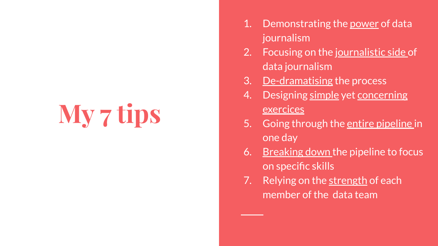# **My 7 tips**

- 1. Demonstrating the power of data journalism
- 2. Focusing on the journalistic side of data journalism
- 3. De-dramatising the process
- 4. Designing simple yet concerning exercices
- 5. Going through the entire pipeline in one day
- 6. Breaking down the pipeline to focus on specific skills
- 7. Relying on the strength of each member of the data team